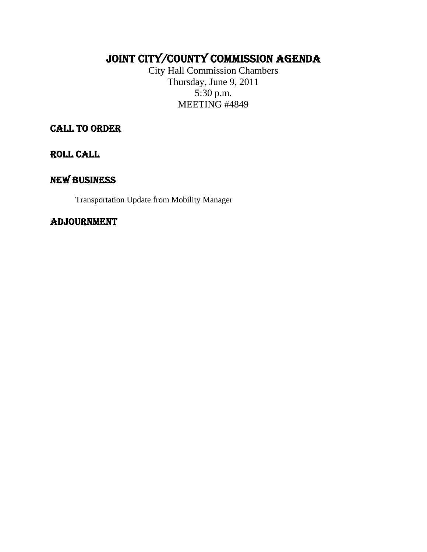# JOINT CITY/COUNTY COMMISSION AGENDA

City Hall Commission Chambers Thursday, June 9, 2011 5:30 p.m. MEETING #4849

CALL TO ORDER

ROLL CALL

## NEW BUSINESS

Transportation Update from Mobility Manager

### ADJOURNMENT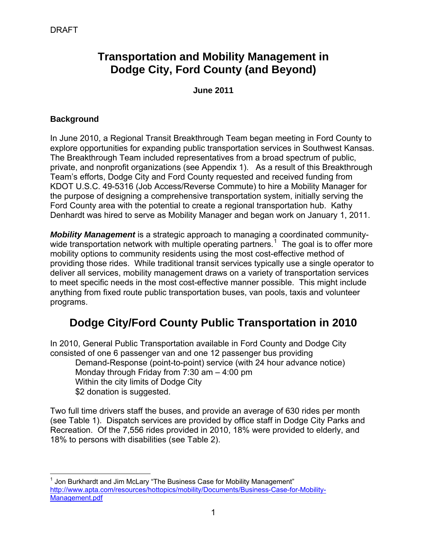## **Transportation and Mobility Management in Dodge City, Ford County (and Beyond)**

**June 2011** 

#### **Background**

In June 2010, a Regional Transit Breakthrough Team began meeting in Ford County to explore opportunities for expanding public transportation services in Southwest Kansas. The Breakthrough Team included representatives from a broad spectrum of public, private, and nonprofit organizations (see Appendix 1). As a result of this Breakthrough Team's efforts, Dodge City and Ford County requested and received funding from KDOT U.S.C. 49-5316 (Job Access/Reverse Commute) to hire a Mobility Manager for the purpose of designing a comprehensive transportation system, initially serving the Ford County area with the potential to create a regional transportation hub. Kathy Denhardt was hired to serve as Mobility Manager and began work on January 1, 2011.

*Mobility Management* is a strategic approach to managing a coordinated community-wide transportation network with multiple operating partners.<sup>[1](#page-1-0)</sup> The goal is to offer more mobility options to community residents using the most cost-effective method of providing those rides. While traditional transit services typically use a single operator to deliver all services, mobility management draws on a variety of transportation services to meet specific needs in the most cost-effective manner possible. This might include anything from fixed route public transportation buses, van pools, taxis and volunteer programs.

# **Dodge City/Ford County Public Transportation in 2010**

In 2010, General Public Transportation available in Ford County and Dodge City consisted of one 6 passenger van and one 12 passenger bus providing

Demand-Response (point-to-point) service (with 24 hour advance notice) Monday through Friday from 7:30 am – 4:00 pm Within the city limits of Dodge City \$2 donation is suggested.

Two full time drivers staff the buses, and provide an average of 630 rides per month (see Table 1). Dispatch services are provided by office staff in Dodge City Parks and Recreation. Of the 7,556 rides provided in 2010, 18% were provided to elderly, and 18% to persons with disabilities (see Table 2).

<span id="page-1-0"></span> $\overline{a}$  $1$  Jon Burkhardt and Jim McLary "The Business Case for Mobility Management" [http://www.apta.com/resources/hottopics/mobility/Documents/Business-Case-for-Mobility-](http://www.apta.com/resources/hottopics/mobility/Documents/Business-Case-for-Mobility-Management.pdf)[Management.pdf](http://www.apta.com/resources/hottopics/mobility/Documents/Business-Case-for-Mobility-Management.pdf)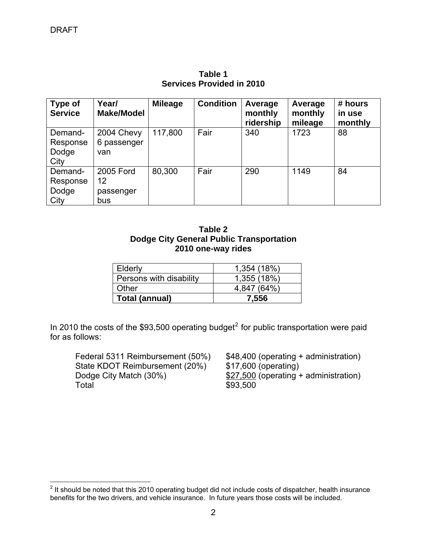| <b>Type of</b><br><b>Service</b>     | Year/<br><b>Make/Model</b>          | <b>Mileage</b> | <b>Condition</b> | Average<br>monthly<br>ridership | Average<br>monthly<br>mileage | # hours<br>in use<br>monthly |
|--------------------------------------|-------------------------------------|----------------|------------------|---------------------------------|-------------------------------|------------------------------|
| Demand-<br>Response<br>Dodge<br>City | 2004 Chevy<br>6 passenger<br>van    | 117,800        | Fair             | 340                             | 1723                          | 88                           |
| Demand-<br>Response<br>Dodge<br>City | 2005 Ford<br>12<br>passenger<br>bus | 80,300         | Fair             | 290                             | 1149                          | 84                           |

**Table 1 Services Provided in 2010** 

| Table 2                                  |
|------------------------------------------|
| Dodge City General Public Transportation |
| 2010 one-way rides                       |

| Elderly                 | 1,354 (18%) |
|-------------------------|-------------|
| Persons with disability | 1,355 (18%) |
| Other                   | 4.847 (64%) |
| Total (annual)          | 7.556       |

In [2](#page-2-0)010 the costs of the \$93,500 operating budget<sup>2</sup> for public transportation were paid for as follows:

Federal 5311 Reimbursement (50%) \$48,400 (operating + administration)<br>State KDOT Reimbursement (20%) \$17,600 (operating) State KDOT Reimbursement (20%) Dodge City Match  $(30\%)$   $$27,500$  (operating + administration) **Total \$93,500** 

<span id="page-2-0"></span> 2 It should be noted that this 2010 operating budget did not include costs of dispatcher, health insurance benefits for the two drivers, and vehicle insurance. In future years those costs will be included.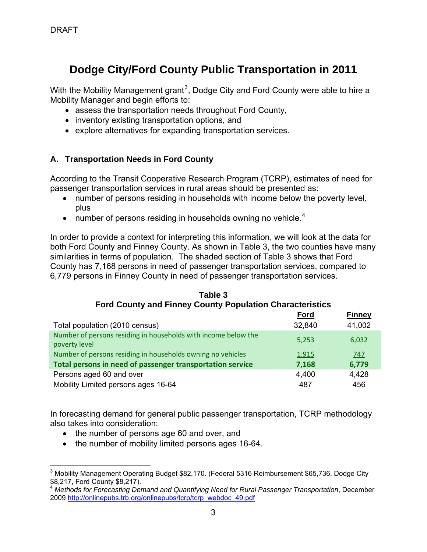# **Dodge City/Ford County Public Transportation in 2011**

With the Mobility Management grant<sup>[3](#page-3-0)</sup>, Dodge City and Ford County were able to hire a Mobility Manager and begin efforts to:

- assess the transportation needs throughout Ford County,
- inventory existing transportation options, and
- explore alternatives for expanding transportation services.

### **A. Transportation Needs in Ford County**

According to the Transit Cooperative Research Program (TCRP), estimates of need for passenger transportation services in rural areas should be presented as:

- number of persons residing in households with income below the poverty level, plus
- number of persons residing in households owning no vehicle.<sup>[4](#page-3-1)</sup>

In order to provide a context for interpreting this information, we will look at the data for both Ford County and Finney County. As shown in Table 3, the two counties have many similarities in terms of population. The shaded section of Table 3 shows that Ford County has 7,168 persons in need of passenger transportation services, compared to 6,779 persons in Finney County in need of passenger transportation services.

| <b>Ford County and Finney County Population Characteristics</b>                 |             |               |  |  |  |
|---------------------------------------------------------------------------------|-------------|---------------|--|--|--|
|                                                                                 | <u>Ford</u> | <b>Finney</b> |  |  |  |
| Total population (2010 census)                                                  | 32,840      | 41,002        |  |  |  |
| Number of persons residing in households with income below the<br>poverty level | 5,253       | 6,032         |  |  |  |
| Number of persons residing in households owning no vehicles                     | 1,915       | 747           |  |  |  |
| Total persons in need of passenger transportation service                       | 7,168       | 6,779         |  |  |  |
| Persons aged 60 and over                                                        | 4,400       | 4,428         |  |  |  |
| Mobility Limited persons ages 16-64                                             | 487         | 456           |  |  |  |

#### **Table 3 Ford County and Finney County Population Characteristics**

In forecasting demand for general public passenger transportation, TCRP methodology also takes into consideration:

- the number of persons age 60 and over, and
- the number of mobility limited persons ages 16-64.

<span id="page-3-0"></span> $\overline{a}$ <sup>3</sup> Mobility Management Operating Budget \$82,170. (Federal 5316 Reimbursement \$65,736, Dodge City  $$8,217,$  Ford County  $$8,217$ .

<span id="page-3-1"></span><sup>4</sup> *Methods for Forecasting Demand and Quantifying Need for Rural Passenger Transportation*, December 2009 [http://onlinepubs.trb.org/onlinepubs/tcrp/tcrp\\_webdoc\\_49.pdf](http://onlinepubs.trb.org/onlinepubs/tcrp/tcrp_webdoc_49.pdf)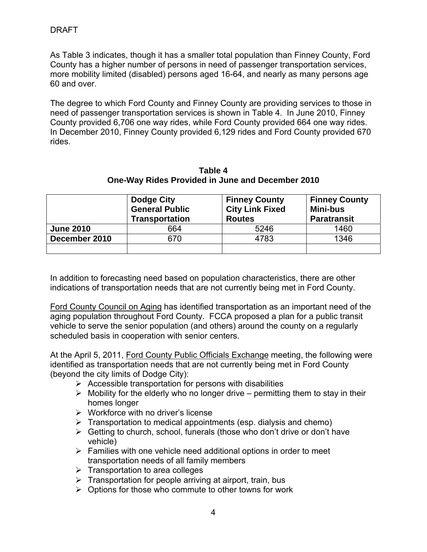As Table 3 indicates, though it has a smaller total population than Finney County, Ford County has a higher number of persons in need of passenger transportation services, more mobility limited (disabled) persons aged 16-64, and nearly as many persons age 60 and over.

The degree to which Ford County and Finney County are providing services to those in need of passenger transportation services is shown in Table 4. In June 2010, Finney County provided 6,706 one way rides, while Ford County provided 664 one way rides. In December 2010, Finney County provided 6,129 rides and Ford County provided 670 rides.

| Table 4                                          |  |  |  |  |
|--------------------------------------------------|--|--|--|--|
| One-Way Rides Provided in June and December 2010 |  |  |  |  |

|                  | Dodge City<br><b>General Public</b><br><b>Transportation</b> | <b>Finney County</b><br><b>City Link Fixed</b><br><b>Routes</b> | <b>Finney County</b><br><b>Mini-bus</b><br><b>Paratransit</b> |
|------------------|--------------------------------------------------------------|-----------------------------------------------------------------|---------------------------------------------------------------|
| <b>June 2010</b> | 664                                                          | 5246                                                            | 1460                                                          |
| December 2010    | 670                                                          | 4783                                                            | 1346                                                          |
|                  |                                                              |                                                                 |                                                               |

In addition to forecasting need based on population characteristics, there are other indications of transportation needs that are not currently being met in Ford County.

Ford County Council on Aging has identified transportation as an important need of the aging population throughout Ford County. FCCA proposed a plan for a public transit vehicle to serve the senior population (and others) around the county on a regularly scheduled basis in cooperation with senior centers.

At the April 5, 2011, Ford County Public Officials Exchange meeting, the following were identified as transportation needs that are not currently being met in Ford County (beyond the city limits of Dodge City):

- $\triangleright$  Accessible transportation for persons with disabilities
- $\triangleright$  Mobility for the elderly who no longer drive permitting them to stay in their homes longer
- $\triangleright$  Workforce with no driver's license
- $\triangleright$  Transportation to medical appointments (esp. dialysis and chemo)
- $\triangleright$  Getting to church, school, funerals (those who don't drive or don't have vehicle)
- $\triangleright$  Families with one vehicle need additional options in order to meet transportation needs of all family members
- $\triangleright$  Transportation to area colleges
- $\triangleright$  Transportation for people arriving at airport, train, bus
- $\triangleright$  Options for those who commute to other towns for work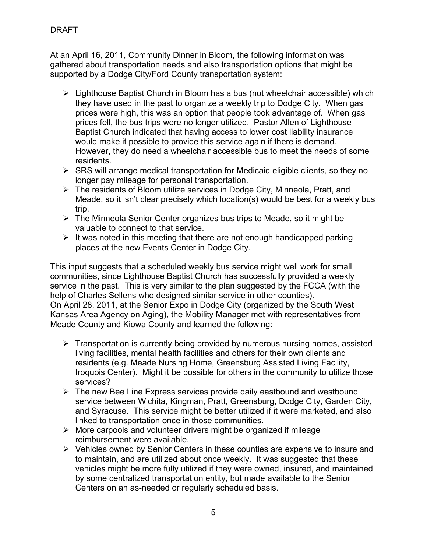At an April 16, 2011, Community Dinner in Bloom, the following information was gathered about transportation needs and also transportation options that might be supported by a Dodge City/Ford County transportation system:

- $\triangleright$  Lighthouse Baptist Church in Bloom has a bus (not wheelchair accessible) which they have used in the past to organize a weekly trip to Dodge City. When gas prices were high, this was an option that people took advantage of. When gas prices fell, the bus trips were no longer utilized. Pastor Allen of Lighthouse Baptist Church indicated that having access to lower cost liability insurance would make it possible to provide this service again if there is demand. However, they do need a wheelchair accessible bus to meet the needs of some residents.
- $\triangleright$  SRS will arrange medical transportation for Medicaid eligible clients, so they no longer pay mileage for personal transportation.
- $\triangleright$  The residents of Bloom utilize services in Dodge City, Minneola, Pratt, and Meade, so it isn't clear precisely which location(s) would be best for a weekly bus trip.
- ¾ The Minneola Senior Center organizes bus trips to Meade, so it might be valuable to connect to that service.
- $\triangleright$  It was noted in this meeting that there are not enough handicapped parking places at the new Events Center in Dodge City.

This input suggests that a scheduled weekly bus service might well work for small communities, since Lighthouse Baptist Church has successfully provided a weekly service in the past. This is very similar to the plan suggested by the FCCA (with the help of Charles Sellens who designed similar service in other counties). On April 28, 2011, at the Senior Expo in Dodge City (organized by the South West Kansas Area Agency on Aging), the Mobility Manager met with representatives from Meade County and Kiowa County and learned the following:

- $\triangleright$  Transportation is currently being provided by numerous nursing homes, assisted living facilities, mental health facilities and others for their own clients and residents (e.g. Meade Nursing Home, Greensburg Assisted Living Facility, Iroquois Center). Might it be possible for others in the community to utilize those services?
- $\triangleright$  The new Bee Line Express services provide daily eastbound and westbound service between Wichita, Kingman, Pratt, Greensburg, Dodge City, Garden City, and Syracuse. This service might be better utilized if it were marketed, and also linked to transportation once in those communities.
- $\triangleright$  More carpools and volunteer drivers might be organized if mileage reimbursement were available.
- ¾ Vehicles owned by Senior Centers in these counties are expensive to insure and to maintain, and are utilized about once weekly. It was suggested that these vehicles might be more fully utilized if they were owned, insured, and maintained by some centralized transportation entity, but made available to the Senior Centers on an as-needed or regularly scheduled basis.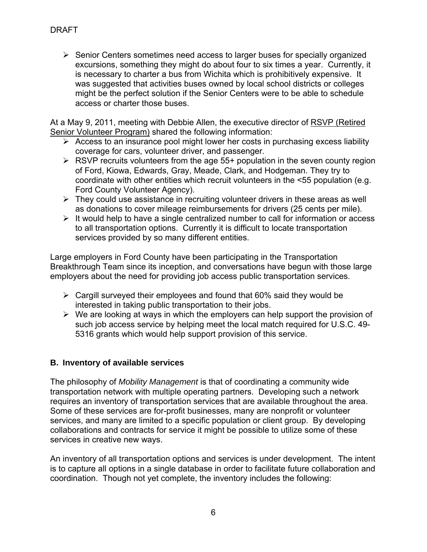$\triangleright$  Senior Centers sometimes need access to larger buses for specially organized excursions, something they might do about four to six times a year. Currently, it is necessary to charter a bus from Wichita which is prohibitively expensive. It was suggested that activities buses owned by local school districts or colleges might be the perfect solution if the Senior Centers were to be able to schedule access or charter those buses.

At a May 9, 2011, meeting with Debbie Allen, the executive director of RSVP (Retired Senior Volunteer Program) shared the following information:

- $\triangleright$  Access to an insurance pool might lower her costs in purchasing excess liability coverage for cars, volunteer driver, and passenger.
- $\triangleright$  RSVP recruits volunteers from the age 55+ population in the seven county region of Ford, Kiowa, Edwards, Gray, Meade, Clark, and Hodgeman. They try to coordinate with other entities which recruit volunteers in the <55 population (e.g. Ford County Volunteer Agency).
- $\triangleright$  They could use assistance in recruiting volunteer drivers in these areas as well as donations to cover mileage reimbursements for drivers (25 cents per mile).
- $\triangleright$  It would help to have a single centralized number to call for information or access to all transportation options. Currently it is difficult to locate transportation services provided by so many different entities.

Large employers in Ford County have been participating in the Transportation Breakthrough Team since its inception, and conversations have begun with those large employers about the need for providing job access public transportation services.

- $\triangleright$  Cargill surveyed their employees and found that 60% said they would be interested in taking public transportation to their jobs.
- $\triangleright$  We are looking at ways in which the employers can help support the provision of such job access service by helping meet the local match required for U.S.C. 49- 5316 grants which would help support provision of this service.

### **B. Inventory of available services**

The philosophy of *Mobility Management* is that of coordinating a community wide transportation network with multiple operating partners. Developing such a network requires an inventory of transportation services that are available throughout the area. Some of these services are for-profit businesses, many are nonprofit or volunteer services, and many are limited to a specific population or client group. By developing collaborations and contracts for service it might be possible to utilize some of these services in creative new ways.

An inventory of all transportation options and services is under development. The intent is to capture all options in a single database in order to facilitate future collaboration and coordination. Though not yet complete, the inventory includes the following: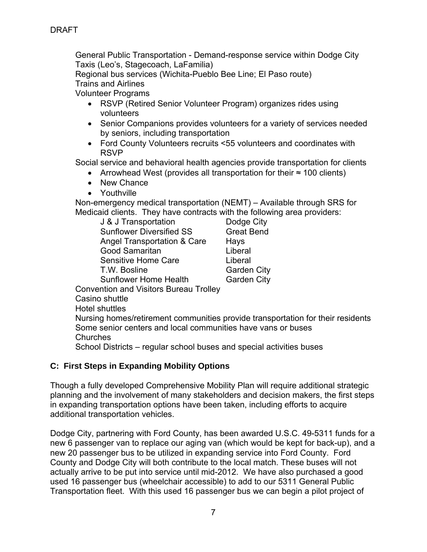General Public Transportation - Demand-response service within Dodge City Taxis (Leo's, Stagecoach, LaFamilia)

 Regional bus services (Wichita-Pueblo Bee Line; El Paso route) Trains and Airlines

Volunteer Programs

- RSVP (Retired Senior Volunteer Program) organizes rides using volunteers
- Senior Companions provides volunteers for a variety of services needed by seniors, including transportation
- Ford County Volunteers recruits <55 volunteers and coordinates with RSVP

Social service and behavioral health agencies provide transportation for clients

- Arrowhead West (provides all transportation for their ≈ 100 clients)
- New Chance
- Youthville

Non-emergency medical transportation (NEMT) – Available through SRS for Medicaid clients. They have contracts with the following area providers:

| J & J Transportation                   | Dodge City         |
|----------------------------------------|--------------------|
| <b>Sunflower Diversified SS</b>        | <b>Great Bend</b>  |
| Angel Transportation & Care            | Hays               |
| Good Samaritan                         | Liberal            |
| Sensitive Home Care                    | Liberal            |
| T.W. Bosline                           | <b>Garden City</b> |
| <b>Sunflower Home Health</b>           | <b>Garden City</b> |
| Convention and Violters Dureau Trollow |                    |

Convention and Visitors Bureau Trolley

Casino shuttle

Hotel shuttles

 Nursing homes/retirement communities provide transportation for their residents Some senior centers and local communities have vans or buses Churches

School Districts – regular school buses and special activities buses

### **C: First Steps in Expanding Mobility Options**

Though a fully developed Comprehensive Mobility Plan will require additional strategic planning and the involvement of many stakeholders and decision makers, the first steps in expanding transportation options have been taken, including efforts to acquire additional transportation vehicles.

Dodge City, partnering with Ford County, has been awarded U.S.C. 49-5311 funds for a new 6 passenger van to replace our aging van (which would be kept for back-up), and a new 20 passenger bus to be utilized in expanding service into Ford County. Ford County and Dodge City will both contribute to the local match. These buses will not actually arrive to be put into service until mid-2012. We have also purchased a good used 16 passenger bus (wheelchair accessible) to add to our 5311 General Public Transportation fleet. With this used 16 passenger bus we can begin a pilot project of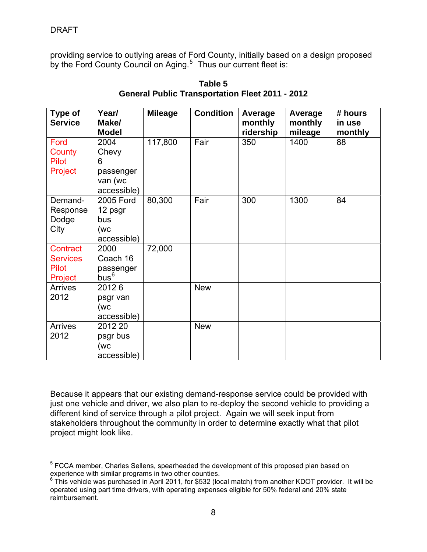providing service to outlying areas of Ford County, initially based on a design proposed by the Ford County Council on Aging.<sup>[5](#page-8-0)</sup> Thus our current fleet is:

| <b>Type of</b><br><b>Service</b>                       | Year/<br>Make/<br><b>Model</b>                            | <b>Mileage</b> | <b>Condition</b> | Average<br>monthly<br>ridership | Average<br>monthly<br>mileage | # hours<br>in use<br>monthly |
|--------------------------------------------------------|-----------------------------------------------------------|----------------|------------------|---------------------------------|-------------------------------|------------------------------|
| Ford<br>County<br><b>Pilot</b><br>Project              | 2004<br>Chevy<br>6<br>passenger<br>van (wc<br>accessible) | 117,800        | Fair             | 350                             | 1400                          | 88                           |
| Demand-<br>Response<br>Dodge<br>City                   | 2005 Ford<br>12 psgr<br>bus<br>(wc<br>accessible)         | 80,300         | Fair             | 300                             | 1300                          | 84                           |
| Contract<br><b>Services</b><br><b>Pilot</b><br>Project | 2000<br>Coach 16<br>passenger<br>$bus^6$                  | 72,000         |                  |                                 |                               |                              |
| <b>Arrives</b><br>2012                                 | 20126<br>psgr van<br>(wc<br>accessible)                   |                | <b>New</b>       |                                 |                               |                              |
| <b>Arrives</b><br>2012                                 | 2012 20<br>psgr bus<br>(wc<br>accessible)                 |                | <b>New</b>       |                                 |                               |                              |

**Table 5 General Public Transportation Fleet 2011 - 2012** 

Because it appears that our existing demand-response service could be provided with just one vehicle and driver, we also plan to re-deploy the second vehicle to providing a different kind of service through a pilot project. Again we will seek input from stakeholders throughout the community in order to determine exactly what that pilot project might look like.

<span id="page-8-0"></span> 5 FCCA member, Charles Sellens, spearheaded the development of this proposed plan based on experience with similar programs in two other counties.

<span id="page-8-1"></span> $6$  This vehicle was purchased in April 2011, for \$532 (local match) from another KDOT provider. It will be operated using part time drivers, with operating expenses eligible for 50% federal and 20% state reimbursement.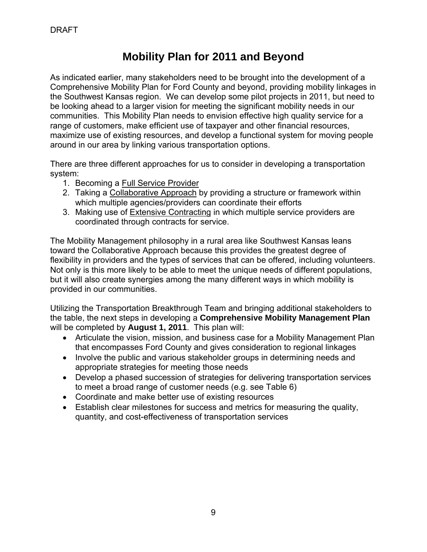# **Mobility Plan for 2011 and Beyond**

As indicated earlier, many stakeholders need to be brought into the development of a Comprehensive Mobility Plan for Ford County and beyond, providing mobility linkages in the Southwest Kansas region. We can develop some pilot projects in 2011, but need to be looking ahead to a larger vision for meeting the significant mobility needs in our communities. This Mobility Plan needs to envision effective high quality service for a range of customers, make efficient use of taxpayer and other financial resources, maximize use of existing resources, and develop a functional system for moving people around in our area by linking various transportation options.

There are three different approaches for us to consider in developing a transportation system:

- 1. Becoming a Full Service Provider
- 2. Taking a Collaborative Approach by providing a structure or framework within which multiple agencies/providers can coordinate their efforts
- 3. Making use of Extensive Contracting in which multiple service providers are coordinated through contracts for service.

The Mobility Management philosophy in a rural area like Southwest Kansas leans toward the Collaborative Approach because this provides the greatest degree of flexibility in providers and the types of services that can be offered, including volunteers. Not only is this more likely to be able to meet the unique needs of different populations, but it will also create synergies among the many different ways in which mobility is provided in our communities.

Utilizing the Transportation Breakthrough Team and bringing additional stakeholders to the table, the next steps in developing a **Comprehensive Mobility Management Plan** will be completed by **August 1, 2011**. This plan will:

- Articulate the vision, mission, and business case for a Mobility Management Plan that encompasses Ford County and gives consideration to regional linkages
- Involve the public and various stakeholder groups in determining needs and appropriate strategies for meeting those needs
- Develop a phased succession of strategies for delivering transportation services to meet a broad range of customer needs (e.g. see Table 6)
- Coordinate and make better use of existing resources
- Establish clear milestones for success and metrics for measuring the quality, quantity, and cost-effectiveness of transportation services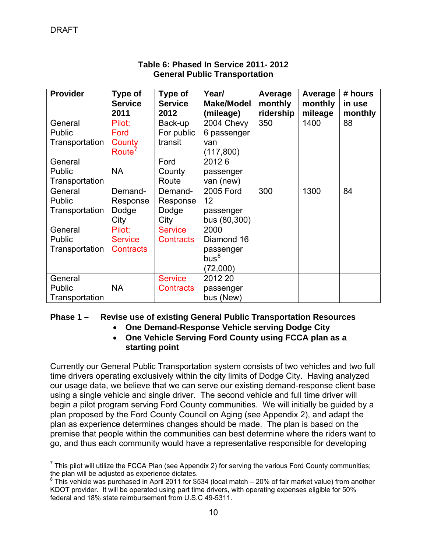| <b>Provider</b> | Type of            | Type of          | Year/             | Average   | Average | # hours |
|-----------------|--------------------|------------------|-------------------|-----------|---------|---------|
|                 | <b>Service</b>     | <b>Service</b>   | <b>Make/Model</b> | monthly   | monthly | in use  |
|                 | 2011               | 2012             | (mileage)         | ridership | mileage | monthly |
| General         | Pilot:             | Back-up          | 2004 Chevy        | 350       | 1400    | 88      |
| <b>Public</b>   | Ford               | For public       | 6 passenger       |           |         |         |
| Transportation  | County             | transit          | van               |           |         |         |
|                 | Route <sup>'</sup> |                  | (117, 800)        |           |         |         |
| General         |                    | Ford             | 20126             |           |         |         |
| <b>Public</b>   | <b>NA</b>          | County           | passenger         |           |         |         |
| Transportation  |                    | Route            | van (new)         |           |         |         |
| General         | Demand-            | Demand-          | 2005 Ford         | 300       | 1300    | 84      |
| Public          | Response           | Response         | 12                |           |         |         |
| Transportation  | Dodge              | Dodge            | passenger         |           |         |         |
|                 | City               | City             | bus (80,300)      |           |         |         |
| General         | Pilot:             | <b>Service</b>   | 2000              |           |         |         |
| <b>Public</b>   | <b>Service</b>     | <b>Contracts</b> | Diamond 16        |           |         |         |
| Transportation  | <b>Contracts</b>   |                  | passenger         |           |         |         |
|                 |                    |                  | bus <sup>8</sup>  |           |         |         |
|                 |                    |                  | (72,000)          |           |         |         |
| General         |                    | <b>Service</b>   | 2012 20           |           |         |         |
| <b>Public</b>   | <b>NA</b>          | <b>Contracts</b> | passenger         |           |         |         |
| Transportation  |                    |                  | bus (New)         |           |         |         |

### **Table 6: Phased In Service 2011- 2012 General Public Transportation**

### **Phase 1 – Revise use of existing General Public Transportation Resources**

- **One Demand-Response Vehicle serving Dodge City**
- **One Vehicle Serving Ford County using FCCA plan as a starting point**

Currently our General Public Transportation system consists of two vehicles and two full time drivers operating exclusively within the city limits of Dodge City. Having analyzed our usage data, we believe that we can serve our existing demand-response client base using a single vehicle and single driver. The second vehicle and full time driver will begin a pilot program serving Ford County communities. We will initially be guided by a plan proposed by the Ford County Council on Aging (see Appendix 2), and adapt the plan as experience determines changes should be made. The plan is based on the premise that people within the communities can best determine where the riders want to go, and thus each community would have a representative responsible for developing

<span id="page-10-0"></span> $\overline{a}$ <sup>7</sup> This pilot will utilize the FCCA Plan (see Appendix 2) for serving the various Ford County communities; the plan will be adjusted as experience dictates.

<span id="page-10-1"></span> $8$  This vehicle was purchased in April 2011 for \$534 (local match – 20% of fair market value) from another KDOT provider. It will be operated using part time drivers, with operating expenses eligible for 50% federal and 18% state reimbursement from U.S.C 49-5311.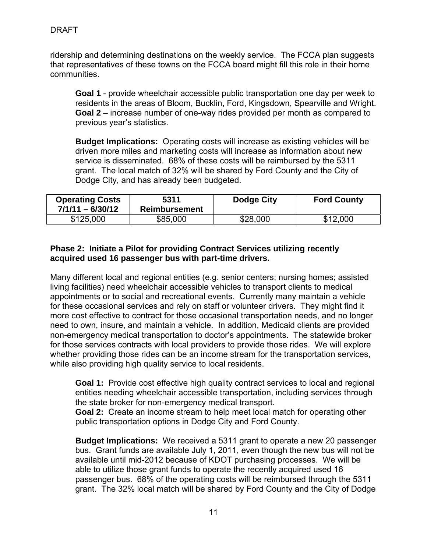ridership and determining destinations on the weekly service. The FCCA plan suggests that representatives of these towns on the FCCA board might fill this role in their home communities.

**Goal 1** - provide wheelchair accessible public transportation one day per week to residents in the areas of Bloom, Bucklin, Ford, Kingsdown, Spearville and Wright. **Goal 2** – increase number of one-way rides provided per month as compared to previous year's statistics.

**Budget Implications:** Operating costs will increase as existing vehicles will be driven more miles and marketing costs will increase as information about new service is disseminated. 68% of these costs will be reimbursed by the 5311 grant. The local match of 32% will be shared by Ford County and the City of Dodge City, and has already been budgeted.

| <b>Operating Costs</b><br>$7/1/11 - 6/30/12$ | 5311<br><b>Reimbursement</b> | Dodge City | <b>Ford County</b> |
|----------------------------------------------|------------------------------|------------|--------------------|
| \$125,000                                    | \$85,000                     | \$28,000   | \$12,000           |

#### **Phase 2: Initiate a Pilot for providing Contract Services utilizing recently acquired used 16 passenger bus with part-time drivers.**

Many different local and regional entities (e.g. senior centers; nursing homes; assisted living facilities) need wheelchair accessible vehicles to transport clients to medical appointments or to social and recreational events. Currently many maintain a vehicle for these occasional services and rely on staff or volunteer drivers. They might find it more cost effective to contract for those occasional transportation needs, and no longer need to own, insure, and maintain a vehicle. In addition, Medicaid clients are provided non-emergency medical transportation to doctor's appointments. The statewide broker for those services contracts with local providers to provide those rides. We will explore whether providing those rides can be an income stream for the transportation services, while also providing high quality service to local residents.

**Goal 1:** Provide cost effective high quality contract services to local and regional entities needing wheelchair accessible transportation, including services through the state broker for non-emergency medical transport.

**Goal 2:** Create an income stream to help meet local match for operating other public transportation options in Dodge City and Ford County.

**Budget Implications:** We received a 5311 grant to operate a new 20 passenger bus. Grant funds are available July 1, 2011, even though the new bus will not be available until mid-2012 because of KDOT purchasing processes. We will be able to utilize those grant funds to operate the recently acquired used 16 passenger bus. 68% of the operating costs will be reimbursed through the 5311 grant. The 32% local match will be shared by Ford County and the City of Dodge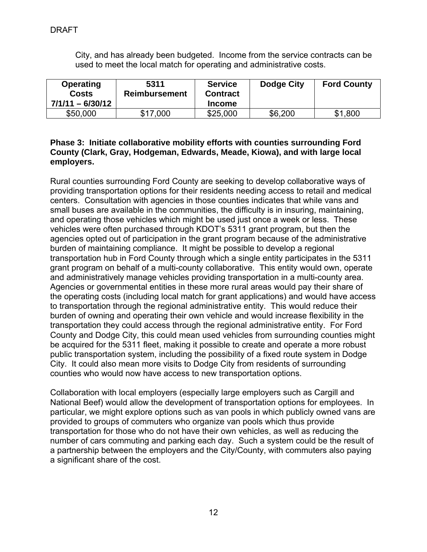City, and has already been budgeted. Income from the service contracts can be used to meet the local match for operating and administrative costs.

| <b>Operating</b><br><b>Costs</b><br>$7/1/11 - 6/30/12$ | 5311<br>Reimbursement | <b>Service</b><br><b>Contract</b><br><b>Income</b> | Dodge City | <b>Ford County</b> |
|--------------------------------------------------------|-----------------------|----------------------------------------------------|------------|--------------------|
| \$50,000                                               | \$17,000              | \$25,000                                           | \$6,200    | \$1,800            |

#### **Phase 3: Initiate collaborative mobility efforts with counties surrounding Ford County (Clark, Gray, Hodgeman, Edwards, Meade, Kiowa), and with large local employers.**

Rural counties surrounding Ford County are seeking to develop collaborative ways of providing transportation options for their residents needing access to retail and medical centers. Consultation with agencies in those counties indicates that while vans and small buses are available in the communities, the difficulty is in insuring, maintaining, and operating those vehicles which might be used just once a week or less. These vehicles were often purchased through KDOT's 5311 grant program, but then the agencies opted out of participation in the grant program because of the administrative burden of maintaining compliance. It might be possible to develop a regional transportation hub in Ford County through which a single entity participates in the 5311 grant program on behalf of a multi-county collaborative. This entity would own, operate and administratively manage vehicles providing transportation in a multi-county area. Agencies or governmental entities in these more rural areas would pay their share of the operating costs (including local match for grant applications) and would have access to transportation through the regional administrative entity. This would reduce their burden of owning and operating their own vehicle and would increase flexibility in the transportation they could access through the regional administrative entity. For Ford County and Dodge City, this could mean used vehicles from surrounding counties might be acquired for the 5311 fleet, making it possible to create and operate a more robust public transportation system, including the possibility of a fixed route system in Dodge City. It could also mean more visits to Dodge City from residents of surrounding counties who would now have access to new transportation options.

Collaboration with local employers (especially large employers such as Cargill and National Beef) would allow the development of transportation options for employees. In particular, we might explore options such as van pools in which publicly owned vans are provided to groups of commuters who organize van pools which thus provide transportation for those who do not have their own vehicles, as well as reducing the number of cars commuting and parking each day. Such a system could be the result of a partnership between the employers and the City/County, with commuters also paying a significant share of the cost.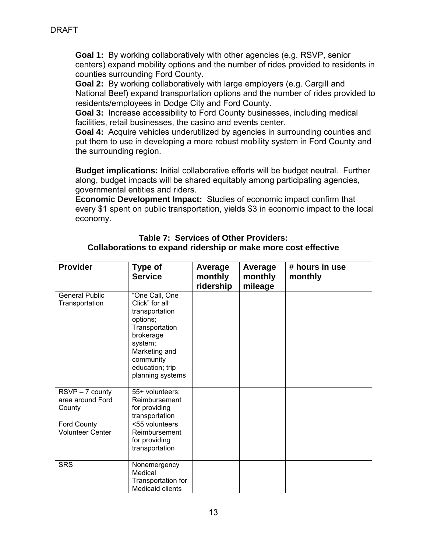**Goal 1:** By working collaboratively with other agencies (e.g. RSVP, senior centers) expand mobility options and the number of rides provided to residents in counties surrounding Ford County.

**Goal 2:** By working collaboratively with large employers (e.g. Cargill and National Beef) expand transportation options and the number of rides provided to residents/employees in Dodge City and Ford County.

**Goal 3:** Increase accessibility to Ford County businesses, including medical facilities, retail businesses, the casino and events center.

**Goal 4:** Acquire vehicles underutilized by agencies in surrounding counties and put them to use in developing a more robust mobility system in Ford County and the surrounding region.

**Budget implications:** Initial collaborative efforts will be budget neutral. Further along, budget impacts will be shared equitably among participating agencies, governmental entities and riders.

**Economic Development Impact:** Studies of economic impact confirm that every \$1 spent on public transportation, yields \$3 in economic impact to the local economy.

#### **Table 7: Services of Other Providers: Collaborations to expand ridership or make more cost effective**

| <b>Provider</b>                               | <b>Type of</b><br><b>Service</b>                                                                                                                                              | Average<br>monthly<br>ridership | Average<br>monthly<br>mileage | # hours in use<br>monthly |
|-----------------------------------------------|-------------------------------------------------------------------------------------------------------------------------------------------------------------------------------|---------------------------------|-------------------------------|---------------------------|
| <b>General Public</b><br>Transportation       | "One Call, One<br>Click" for all<br>transportation<br>options;<br>Transportation<br>brokerage<br>system;<br>Marketing and<br>community<br>education; trip<br>planning systems |                                 |                               |                           |
| RSVP - 7 county<br>area around Ford<br>County | 55+ volunteers;<br>Reimbursement<br>for providing<br>transportation                                                                                                           |                                 |                               |                           |
| Ford County<br><b>Volunteer Center</b>        | <55 volunteers<br>Reimbursement<br>for providing<br>transportation                                                                                                            |                                 |                               |                           |
| <b>SRS</b>                                    | Nonemergency<br>Medical<br>Transportation for<br><b>Medicaid clients</b>                                                                                                      |                                 |                               |                           |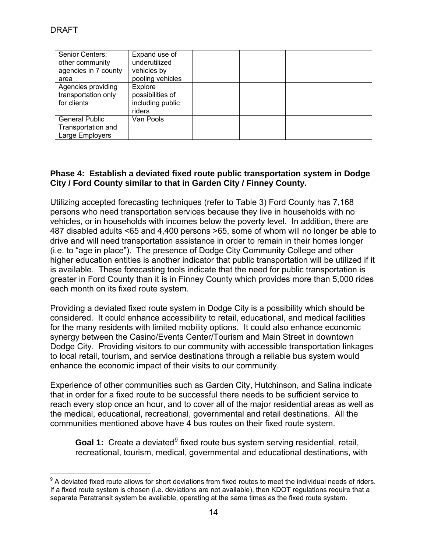| Senior Centers;<br>other community<br>agencies in 7 county<br>area | Expand use of<br>underutilized<br>vehicles by<br>pooling vehicles |  |  |
|--------------------------------------------------------------------|-------------------------------------------------------------------|--|--|
| Agencies providing<br>transportation only<br>for clients           | Explore<br>possibilities of<br>including public<br>riders         |  |  |
| <b>General Public</b><br>Transportation and<br>Large Employers     | Van Pools                                                         |  |  |

### **Phase 4: Establish a deviated fixed route public transportation system in Dodge City / Ford County similar to that in Garden City / Finney County.**

Utilizing accepted forecasting techniques (refer to Table 3) Ford County has 7,168 persons who need transportation services because they live in households with no vehicles, or in households with incomes below the poverty level. In addition, there are 487 disabled adults <65 and 4,400 persons >65, some of whom will no longer be able to drive and will need transportation assistance in order to remain in their homes longer (i.e. to "age in place"). The presence of Dodge City Community College and other higher education entities is another indicator that public transportation will be utilized if it is available. These forecasting tools indicate that the need for public transportation is greater in Ford County than it is in Finney County which provides more than 5,000 rides each month on its fixed route system.

Providing a deviated fixed route system in Dodge City is a possibility which should be considered. It could enhance accessibility to retail, educational, and medical facilities for the many residents with limited mobility options. It could also enhance economic synergy between the Casino/Events Center/Tourism and Main Street in downtown Dodge City. Providing visitors to our community with accessible transportation linkages to local retail, tourism, and service destinations through a reliable bus system would enhance the economic impact of their visits to our community.

Experience of other communities such as Garden City, Hutchinson, and Salina indicate that in order for a fixed route to be successful there needs to be sufficient service to reach every stop once an hour, and to cover all of the major residential areas as well as the medical, educational, recreational, governmental and retail destinations. All the communities mentioned above have 4 bus routes on their fixed route system.

Goal 1: Create a deviated<sup>[9](#page-14-0)</sup> fixed route bus system serving residential, retail, recreational, tourism, medical, governmental and educational destinations, with

<span id="page-14-0"></span> $\overline{a}$  $9$  A deviated fixed route allows for short deviations from fixed routes to meet the individual needs of riders. If a fixed route system is chosen (i.e. deviations are not available), then KDOT regulations require that a separate Paratransit system be available, operating at the same times as the fixed route system.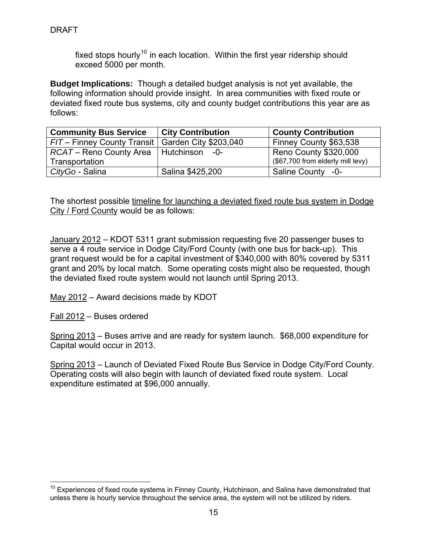DRAFT

fixed stops hourly<sup>[10](#page-15-0)</sup> in each location. Within the first year ridership should exceed 5000 per month.

**Budget Implications:** Though a detailed budget analysis is not yet available, the following information should provide insight. In area communities with fixed route or deviated fixed route bus systems, city and county budget contributions this year are as follows:

| <b>Community Bus Service</b>                        | <b>City Contribution</b> | <b>County Contribution</b>        |
|-----------------------------------------------------|--------------------------|-----------------------------------|
| FIT – Finney County Transit   Garden City \$203,040 |                          | Finney County \$63,538            |
| RCAT – Reno County Area   Hutchinson                | $-0-$                    | Reno County \$320,000             |
| Transportation                                      |                          | (\$67,700 from elderly mill levy) |
| CityGo - Salina                                     | Salina \$425,200         | Saline County -0-                 |

The shortest possible timeline for launching a deviated fixed route bus system in Dodge City / Ford County would be as follows:

January 2012 – KDOT 5311 grant submission requesting five 20 passenger buses to serve a 4 route service in Dodge City/Ford County (with one bus for back-up). This grant request would be for a capital investment of \$340,000 with 80% covered by 5311 grant and 20% by local match. Some operating costs might also be requested, though the deviated fixed route system would not launch until Spring 2013.

May 2012 – Award decisions made by KDOT

Fall 2012 – Buses ordered

 $\overline{a}$ 

Spring 2013 – Buses arrive and are ready for system launch. \$68,000 expenditure for Capital would occur in 2013.

Spring 2013 – Launch of Deviated Fixed Route Bus Service in Dodge City/Ford County. Operating costs will also begin with launch of deviated fixed route system. Local expenditure estimated at \$96,000 annually.

<span id="page-15-0"></span> $10$  Experiences of fixed route systems in Finney County, Hutchinson, and Salina have demonstrated that unless there is hourly service throughout the service area, the system will not be utilized by riders.